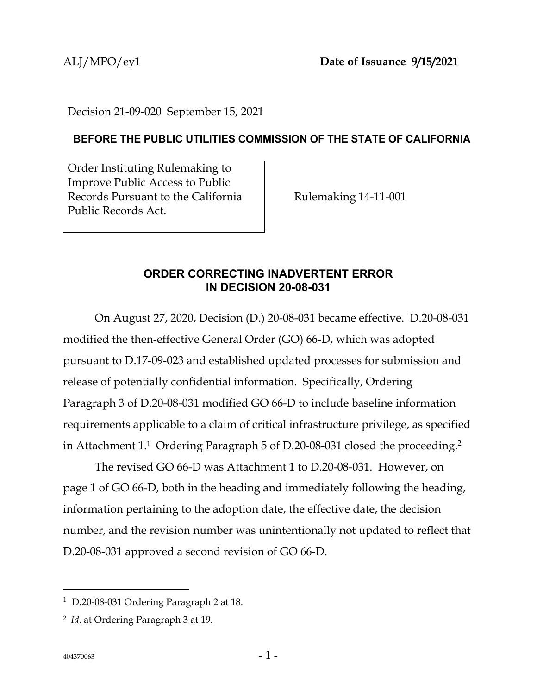Decision 21-09-020 September 15, 2021

## **BEFORE THE PUBLIC UTILITIES COMMISSION OF THE STATE OF CALIFORNIA**

Order Instituting Rulemaking to Improve Public Access to Public Records Pursuant to the California Public Records Act.

Rulemaking 14-11-001

## **ORDER CORRECTING INADVERTENT ERROR IN DECISION 20-08-031**

On August 27, 2020, Decision (D.) 20-08-031 became effective. D.20-08-031 modified the then-effective General Order (GO) 66-D, which was adopted pursuant to D.17-09-023 and established updated processes for submission and release of potentially confidential information. Specifically, Ordering Paragraph 3 of D.20-08-031 modified GO 66-D to include baseline information requirements applicable to a claim of critical infrastructure privilege, as specified in Attachment 1.<sup>1</sup> Ordering Paragraph 5 of D.20-08-031 closed the proceeding.<sup>2</sup>

The revised GO 66-D was Attachment 1 to D.20-08-031. However, on page 1 of GO 66-D, both in the heading and immediately following the heading, information pertaining to the adoption date, the effective date, the decision number, and the revision number was unintentionally not updated to reflect that D.20-08-031 approved a second revision of GO 66-D.

<sup>1</sup> D.20-08-031 Ordering Paragraph 2 at 18.

<sup>2</sup> *Id*. at Ordering Paragraph 3 at 19.